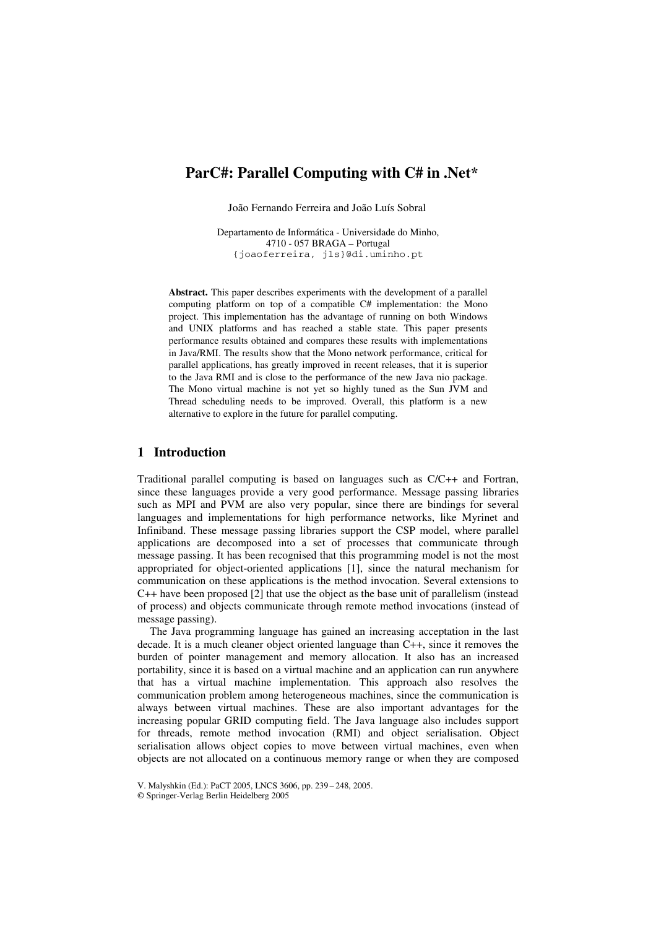# **ParC#: Parallel Computing with C# in .Net\***

João Fernando Ferreira and João Luís Sobral

Departamento de Informática - Universidade do Minho, 4710 - 057 BRAGA – Portugal {joaoferreira, jls}@di.uminho.pt

**Abstract.** This paper describes experiments with the development of a parallel computing platform on top of a compatible C# implementation: the Mono project. This implementation has the advantage of running on both Windows and UNIX platforms and has reached a stable state. This paper presents performance results obtained and compares these results with implementations in Java/RMI. The results show that the Mono network performance, critical for parallel applications, has greatly improved in recent releases, that it is superior to the Java RMI and is close to the performance of the new Java nio package. The Mono virtual machine is not yet so highly tuned as the Sun JVM and Thread scheduling needs to be improved. Overall, this platform is a new alternative to explore in the future for parallel computing.

## **1 Introduction**

Traditional parallel computing is based on languages such as C/C++ and Fortran, since these languages provide a very good performance. Message passing libraries such as MPI and PVM are also very popular, since there are bindings for several languages and implementations for high performance networks, like Myrinet and Infiniband. These message passing libraries support the CSP model, where parallel applications are decomposed into a set of processes that communicate through message passing. It has been recognised that this programming model is not the most appropriated for object-oriented applications [1], since the natural mechanism for communication on these applications is the method invocation. Several extensions to C++ have been proposed [2] that use the object as the base unit of parallelism (instead of process) and objects communicate through remote method invocations (instead of message passing).

The Java programming language has gained an increasing acceptation in the last decade. It is a much cleaner object oriented language than C++, since it removes the burden of pointer management and memory allocation. It also has an increased portability, since it is based on a virtual machine and an application can run anywhere that has a virtual machine implementation. This approach also resolves the communication problem among heterogeneous machines, since the communication is always between virtual machines. These are also important advantages for the increasing popular GRID computing field. The Java language also includes support for threads, remote method invocation (RMI) and object serialisation. Object serialisation allows object copies to move between virtual machines, even when objects are not allocated on a continuous memory range or when they are composed

V. Malyshkin (Ed.): PaCT 2005, LNCS 3606, pp. 239 – 248, 2005.

<sup>©</sup> Springer-Verlag Berlin Heidelberg 2005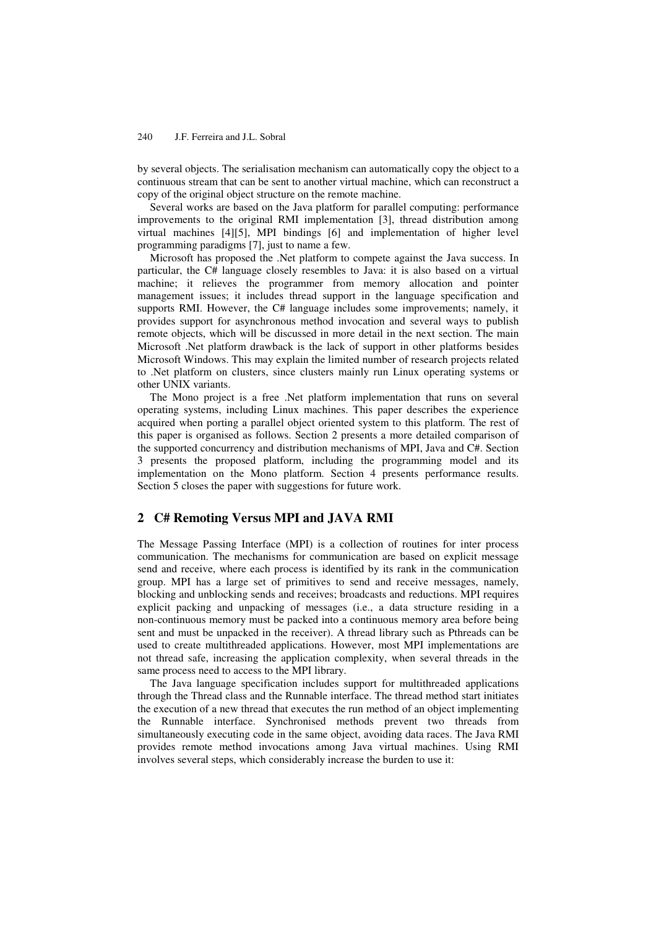by several objects. The serialisation mechanism can automatically copy the object to a continuous stream that can be sent to another virtual machine, which can reconstruct a copy of the original object structure on the remote machine.

Several works are based on the Java platform for parallel computing: performance improvements to the original RMI implementation [3], thread distribution among virtual machines [4][5], MPI bindings [6] and implementation of higher level programming paradigms [7], just to name a few.

Microsoft has proposed the .Net platform to compete against the Java success. In particular, the C# language closely resembles to Java: it is also based on a virtual machine; it relieves the programmer from memory allocation and pointer management issues; it includes thread support in the language specification and supports RMI. However, the C# language includes some improvements; namely, it provides support for asynchronous method invocation and several ways to publish remote objects, which will be discussed in more detail in the next section. The main Microsoft .Net platform drawback is the lack of support in other platforms besides Microsoft Windows. This may explain the limited number of research projects related to .Net platform on clusters, since clusters mainly run Linux operating systems or other UNIX variants.

The Mono project is a free .Net platform implementation that runs on several operating systems, including Linux machines. This paper describes the experience acquired when porting a parallel object oriented system to this platform. The rest of this paper is organised as follows. Section 2 presents a more detailed comparison of the supported concurrency and distribution mechanisms of MPI, Java and C#. Section 3 presents the proposed platform, including the programming model and its implementation on the Mono platform. Section 4 presents performance results. Section 5 closes the paper with suggestions for future work.

## **2 C# Remoting Versus MPI and JAVA RMI**

The Message Passing Interface (MPI) is a collection of routines for inter process communication. The mechanisms for communication are based on explicit message send and receive, where each process is identified by its rank in the communication group. MPI has a large set of primitives to send and receive messages, namely, blocking and unblocking sends and receives; broadcasts and reductions. MPI requires explicit packing and unpacking of messages (i.e., a data structure residing in a non-continuous memory must be packed into a continuous memory area before being sent and must be unpacked in the receiver). A thread library such as Pthreads can be used to create multithreaded applications. However, most MPI implementations are not thread safe, increasing the application complexity, when several threads in the same process need to access to the MPI library.

The Java language specification includes support for multithreaded applications through the Thread class and the Runnable interface. The thread method start initiates the execution of a new thread that executes the run method of an object implementing the Runnable interface. Synchronised methods prevent two threads from simultaneously executing code in the same object, avoiding data races. The Java RMI provides remote method invocations among Java virtual machines. Using RMI involves several steps, which considerably increase the burden to use it: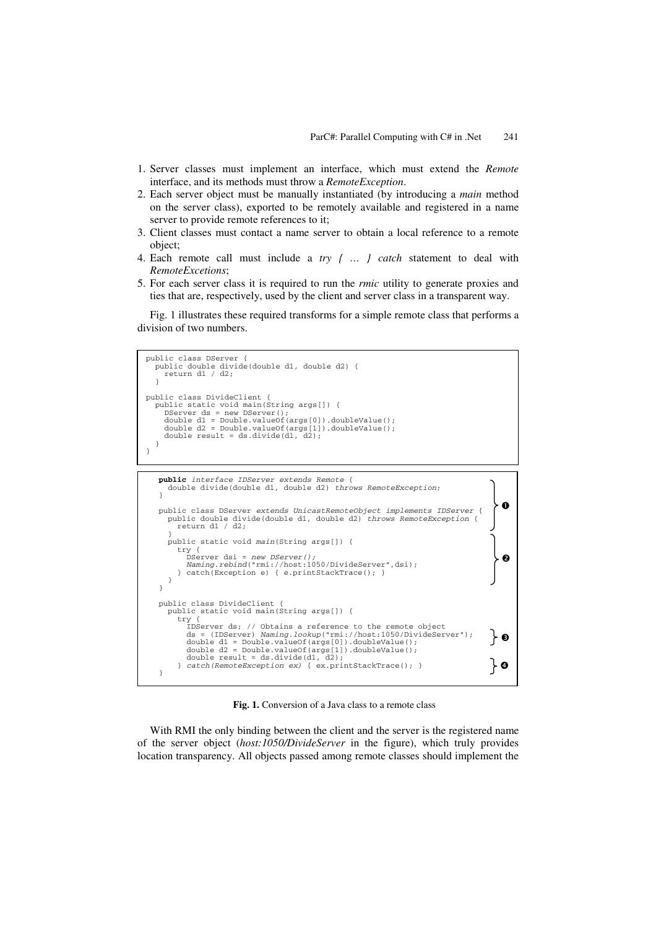- 1. Server classes must implement an interface, which must extend the *Remote* interface, and its methods must throw a *RemoteException*.
- 2. Each server object must be manually instantiated (by introducing a *main* method on the server class), exported to be remotely available and registered in a name server to provide remote references to it;
- 3. Client classes must contact a name server to obtain a local reference to a remote object;
- 4. Each remote call must include a *try { … } catch* statement to deal with *RemoteExcetions*;
- 5. For each server class it is required to run the *rmic* utility to generate proxies and ties that are, respectively, used by the client and server class in a transparent way.

Fig. 1 illustrates these required transforms for a simple remote class that performs a division of two numbers.

```
public class DServer { 
 public double divide(double d1, double d2) { 
 return d1 / d2; 
 } 
public class DivideClient { 
 public static void main(String args[]) { 
 DServer ds = new DServer(); 
 double d1 = Double.valueOf(args[0]).doubleValue(); 
 double d2 = Double.valueOf(args[1]).doubleValue(); 
 double result = ds.divide(d1, d2); 
    } 
}
```

```
public interface IDServer extends Remote {
   double divide(double d1, double d2) throws RemoteException:
} 
public class DServer extends UnicastRemoteObject implements IDServer { 
 public double divide(double d1, double d2) throws RemoteException { 
 return d1 / d2; 
    } 
    public static void main(String args[]) { 
try {<br>DServer dsi = new DServer();<br>Naming.rebind("rmi://host:1050/DivideServer",dsi);<br>} catch(Exception e) { e.printStackTrace(); }
    } 
} 
public class DivideClient { 
    public static void main(String args[]) { 
 try { 
 IDServer ds; // Obtains a reference to the remote object 
ds = (IDServer) Naming.lookup("rmi://host:1050/DivideServer");<br>double d1 = Double.valueOf(args[0]).doubleValue();<br>double d2 = Double.valueOf(args[1]).doubleValue();
double result = ds.divide(d1, d2);<br>} catch(RemoteException ex) { ex.printStackTrace(); }
} 
                                                                                                                \mathbf 0\boldsymbol{e}\boldsymbol{\Theta}\boldsymbol{\Theta}
```
**Fig. 1.** Conversion of a Java class to a remote class

With RMI the only binding between the client and the server is the registered name of the server object (*host:1050/DivideServer* in the figure), which truly provides location transparency. All objects passed among remote classes should implement the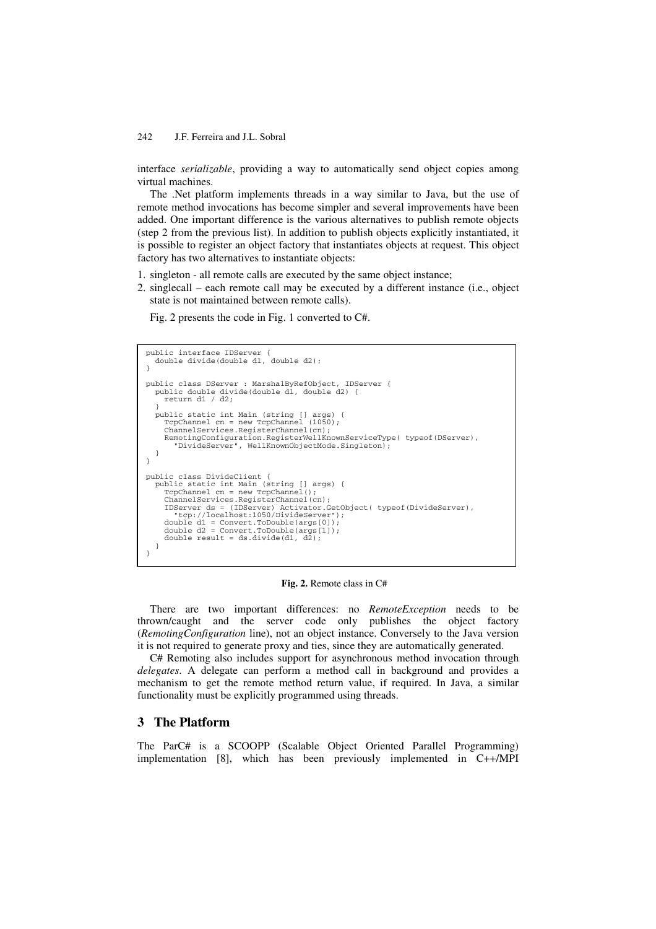interface *serializable*, providing a way to automatically send object copies among virtual machines.

The .Net platform implements threads in a way similar to Java, but the use of remote method invocations has become simpler and several improvements have been added. One important difference is the various alternatives to publish remote objects (step 2 from the previous list). In addition to publish objects explicitly instantiated, it is possible to register an object factory that instantiates objects at request. This object factory has two alternatives to instantiate objects:

- 1. singleton all remote calls are executed by the same object instance;
- 2. singlecall each remote call may be executed by a different instance (i.e., object state is not maintained between remote calls).

Fig. 2 presents the code in Fig. 1 converted to C#.

```
public interface IDServer
    double divide(double d1, double d2); 
} 
public class DServer : MarshalByRefObject, IDServer { 
 public double divide(double d1, double d2) { 
 return d1 / d2; 
 } 
 public static int Main (string [] args) { 
 TcpChannel cn = new TcpChannel (1050); 
        ChannelServices.RegisterChannel(cn); 
 RemotingConfiguration.RegisterWellKnownServiceType( typeof(DServer), 
 "DivideServer", WellKnownObjectMode.Singleton); 
    } 
} 
public class DivideClient { 
   public static int Main (string [] args) {
        TcpChannel cn = new TcpChannel(); 
ChannelServices.RegisterChannel(cn);<br>IDServer ds = (IDServer) Activator.GetObject( typeof(DivideServer),<br>"tcp://localhost:1050/DivideServer");<br>double d1 = Convert.ToDouble(args[0]);<br>double d2 = Convert.ToDouble(args[1]);
      double result = ds.divide(d1, d2);
    } 
}
```
#### **Fig. 2.** Remote class in C#

There are two important differences: no *RemoteException* needs to be thrown/caught and the server code only publishes the object factory (*RemotingConfiguration* line), not an object instance. Conversely to the Java version it is not required to generate proxy and ties, since they are automatically generated.

C# Remoting also includes support for asynchronous method invocation through *delegates*. A delegate can perform a method call in background and provides a mechanism to get the remote method return value, if required. In Java, a similar functionality must be explicitly programmed using threads.

## **3 The Platform**

The ParC# is a SCOOPP (Scalable Object Oriented Parallel Programming) implementation [8], which has been previously implemented in C++/MPI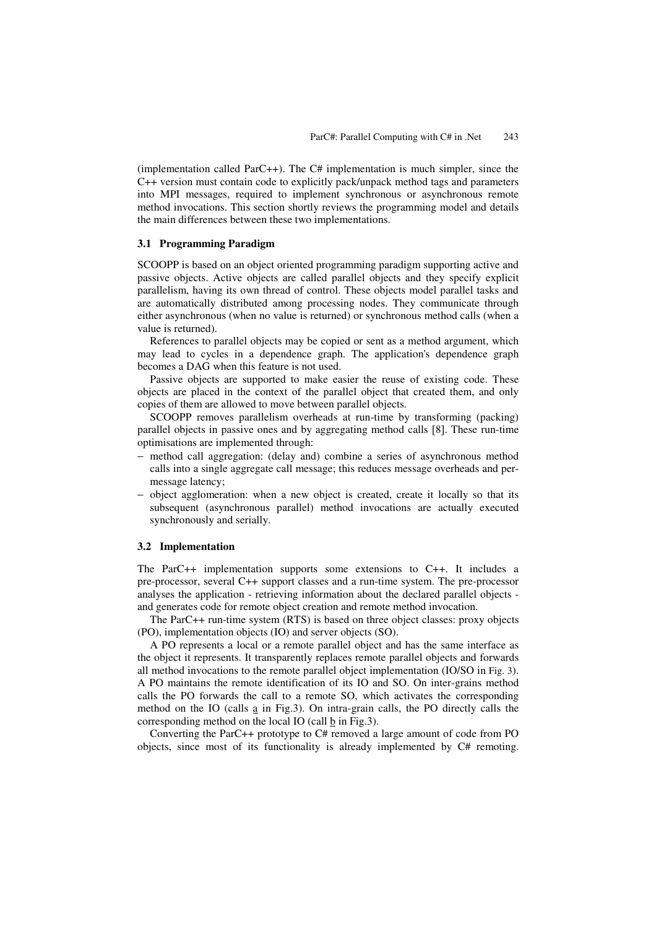(implementation called ParC++). The C# implementation is much simpler, since the C++ version must contain code to explicitly pack/unpack method tags and parameters into MPI messages, required to implement synchronous or asynchronous remote method invocations. This section shortly reviews the programming model and details the main differences between these two implementations.

### **3.1 Programming Paradigm**

SCOOPP is based on an object oriented programming paradigm supporting active and passive objects. Active objects are called parallel objects and they specify explicit parallelism, having its own thread of control. These objects model parallel tasks and are automatically distributed among processing nodes. They communicate through either asynchronous (when no value is returned) or synchronous method calls (when a value is returned).

References to parallel objects may be copied or sent as a method argument, which may lead to cycles in a dependence graph. The application's dependence graph becomes a DAG when this feature is not used.

Passive objects are supported to make easier the reuse of existing code. These objects are placed in the context of the parallel object that created them, and only copies of them are allowed to move between parallel objects.

SCOOPP removes parallelism overheads at run-time by transforming (packing) parallel objects in passive ones and by aggregating method calls [8]. These run-time optimisations are implemented through:

- − method call aggregation: (delay and) combine a series of asynchronous method calls into a single aggregate call message; this reduces message overheads and permessage latency;
- − object agglomeration: when a new object is created, create it locally so that its subsequent (asynchronous parallel) method invocations are actually executed synchronously and serially.

#### **3.2 Implementation**

The ParC++ implementation supports some extensions to C++. It includes a pre-processor, several C++ support classes and a run-time system. The pre-processor analyses the application - retrieving information about the declared parallel objects and generates code for remote object creation and remote method invocation.

The ParC++ run-time system (RTS) is based on three object classes: proxy objects (PO), implementation objects (IO) and server objects (SO).

A PO represents a local or a remote parallel object and has the same interface as the object it represents. It transparently replaces remote parallel objects and forwards all method invocations to the remote parallel object implementation (IO/SO in Fig. 3). A PO maintains the remote identification of its IO and SO. On inter-grains method calls the PO forwards the call to a remote SO, which activates the corresponding method on the IO (calls a in Fig.3). On intra-grain calls, the PO directly calls the corresponding method on the local IO (call b in Fig.3).

Converting the ParC++ prototype to C# removed a large amount of code from PO objects, since most of its functionality is already implemented by C# remoting.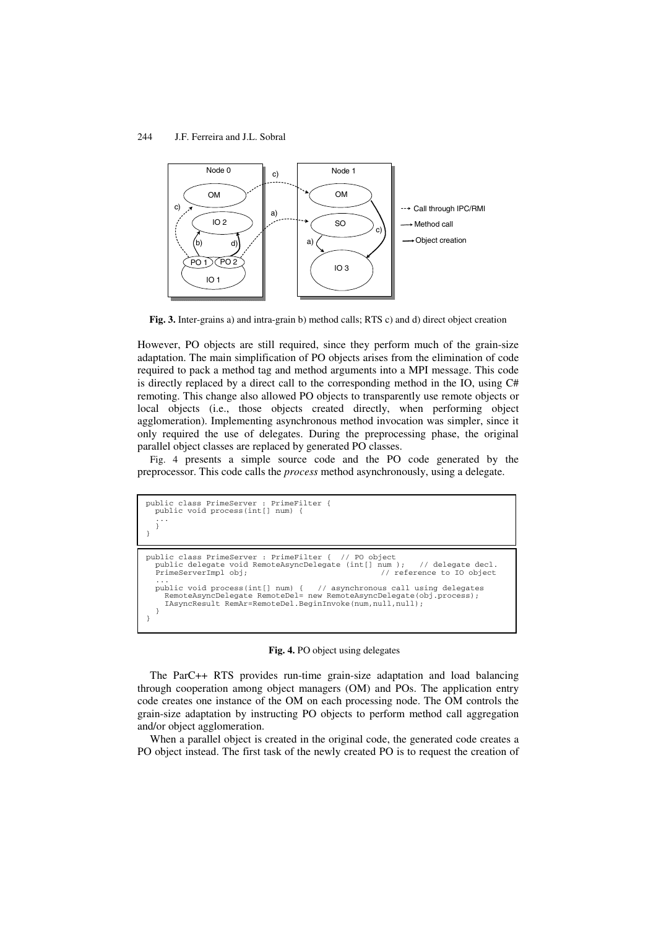

**Fig. 3.** Inter-grains a) and intra-grain b) method calls; RTS c) and d) direct object creation

However, PO objects are still required, since they perform much of the grain-size adaptation. The main simplification of PO objects arises from the elimination of code required to pack a method tag and method arguments into a MPI message. This code is directly replaced by a direct call to the corresponding method in the IO, using  $C#$ remoting. This change also allowed PO objects to transparently use remote objects or local objects (i.e., those objects created directly, when performing object agglomeration). Implementing asynchronous method invocation was simpler, since it only required the use of delegates. During the preprocessing phase, the original parallel object classes are replaced by generated PO classes.

Fig. 4 presents a simple source code and the PO code generated by the preprocessor. This code calls the *process* method asynchronously, using a delegate.

```
public class PrimeServer : PrimeFilter { 
   public void process(int[] num) { 
 ... 
   } 
} 
public class PrimeServer : PrimeFilter { // PO object 
public delegate void RemoteAsyncDelegate (int[] num ); // delegate decl.<br>PrimeServerImpl obj;
 ... 
 public void process(int[] num) { // asynchronous call using delegates 
 RemoteAsyncDelegate RemoteDel= new RemoteAsyncDelegate(obj.process); 
      IAsyncResult RemAr=RemoteDel.BeginInvoke(num,null,null); 
   } 
}
```
## **Fig. 4.** PO object using delegates

The ParC++ RTS provides run-time grain-size adaptation and load balancing through cooperation among object managers (OM) and POs. The application entry code creates one instance of the OM on each processing node. The OM controls the grain-size adaptation by instructing PO objects to perform method call aggregation and/or object agglomeration.

When a parallel object is created in the original code, the generated code creates a PO object instead. The first task of the newly created PO is to request the creation of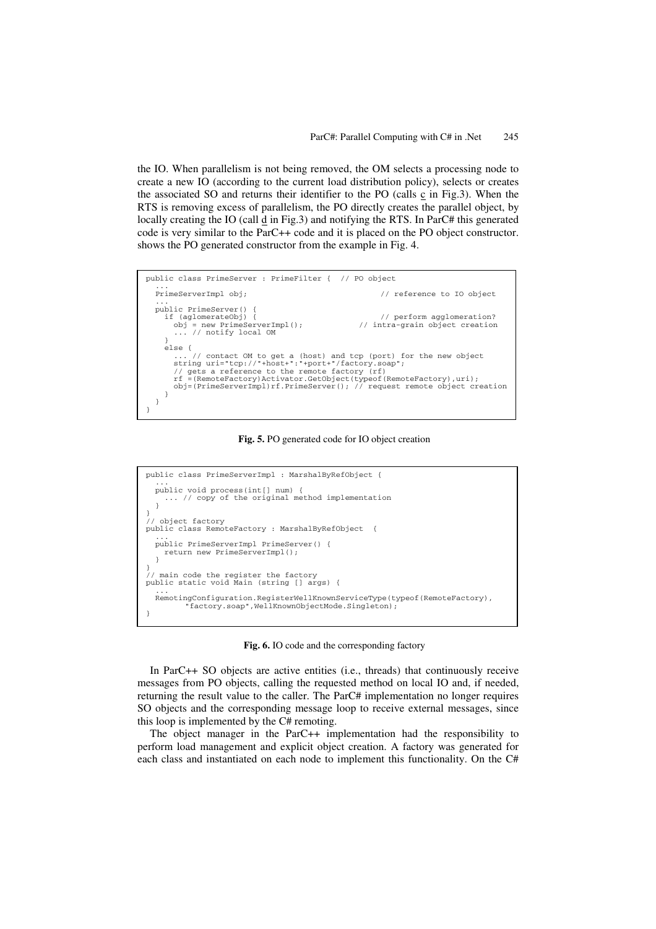the IO. When parallelism is not being removed, the OM selects a processing node to create a new IO (according to the current load distribution policy), selects or creates the associated SO and returns their identifier to the PO (calls c in Fig.3). When the RTS is removing excess of parallelism, the PO directly creates the parallel object, by locally creating the IO (call d in Fig.3) and notifying the RTS. In ParC# this generated code is very similar to the ParC++ code and it is placed on the PO object constructor. shows the PO generated constructor from the example in Fig. 4.

```
public class PrimeServer : PrimeFilter { // PO object 
   PrimeServerImpl obj;
                                                                                     // reference to IO object
 ... 
 public PrimeServer() { 
      if (aglomerateObj) { \qquad // perform agglomeration?<br>
obj = new PrimeServerImpl(); \qquad // intra-grain object creation
                                                                            // intra-grain object creation
           ... // notify local OM 
}<br>else {<br>...//contact OM to get a (host) and tcp (port) for the new object<br>string uri="tcp://"+host+":"+port+"/factory.soap";<br>//gets a reference to the remote factory (rf)<br>rf =(RemoteFactory)Activator.GetObject(typeof(Remo
   } 
}
```
**Fig. 5.** PO generated code for IO object creation

```
public class PrimeServerImpl : MarshalByRefObject { 
 ... 
 public void process(int[] num) { 
      ... // copy of the original method implementation 
   } 
} 
   object factory
public class RemoteFactory : MarshalByRefObject { 
 ... 
 public PrimeServerImpl PrimeServer() { 
     return new PrimeServerImpl(); 
  \lambda} 
// main code the register the factory 
public static void Main (string [] args) { 
 ... 
 RemotingConfiguration.RegisterWellKnownServiceType(typeof(RemoteFactory), 
           factory.soap", WellKnownObjectMode.Singleton);
}
```
**Fig. 6.** IO code and the corresponding factory

In ParC++ SO objects are active entities (i.e., threads) that continuously receive messages from PO objects, calling the requested method on local IO and, if needed, returning the result value to the caller. The ParC# implementation no longer requires SO objects and the corresponding message loop to receive external messages, since this loop is implemented by the C# remoting.

The object manager in the ParC++ implementation had the responsibility to perform load management and explicit object creation. A factory was generated for each class and instantiated on each node to implement this functionality. On the C#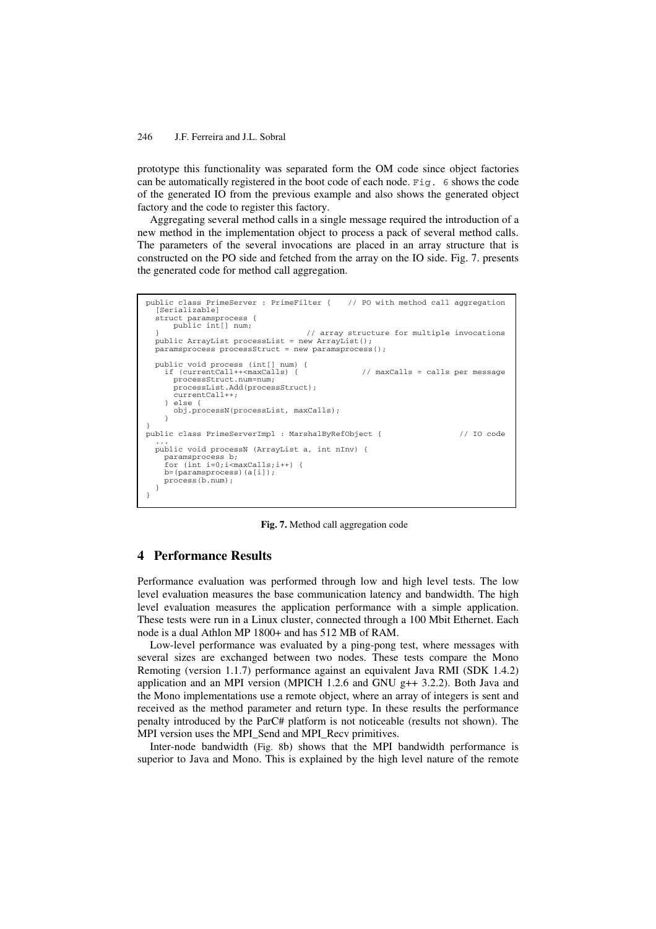prototype this functionality was separated form the OM code since object factories can be automatically registered in the boot code of each node. Fig. 6 shows the code of the generated IO from the previous example and also shows the generated object factory and the code to register this factory.

Aggregating several method calls in a single message required the introduction of a new method in the implementation object to process a pack of several method calls. The parameters of the several invocations are placed in an array structure that is constructed on the PO side and fetched from the array on the IO side. Fig. 7. presents the generated code for method call aggregation.

```
public class PrimeServer : PrimeFilter { // PO with method call aggregation 
   [Serializable] 
 struct paramsprocess { 
 public int[] num; 
 } // array structure for multiple invocations 
 public ArrayList processList = new ArrayList(); 
  paramsprocess processStruct = new paramsprocess();
  public void process (int[] num) {<br>if (currentCall++<maxCalls) {
                                                        \frac{1}{\sqrt{2}} maxCalls = calls per message
 processStruct.num=num; 
 processList.Add(processStruct); 
        currentCall++; 
     } else { 
        obj.processN(processList, maxCalls); 
 } 
} 
public class PrimeServerImpl : MarshalByRefObject { // IO code 
 ... 
 public void processN (ArrayList a, int nInv) { 
     paramsprocess b; 
      for (int i=0;i<maxCalls;i++) { 
 b=(paramsprocess)(a[i]); 
 process(b.num); 
   } 
}
```
**Fig. 7.** Method call aggregation code

## **4 Performance Results**

Performance evaluation was performed through low and high level tests. The low level evaluation measures the base communication latency and bandwidth. The high level evaluation measures the application performance with a simple application. These tests were run in a Linux cluster, connected through a 100 Mbit Ethernet. Each node is a dual Athlon MP 1800+ and has 512 MB of RAM.

Low-level performance was evaluated by a ping-pong test, where messages with several sizes are exchanged between two nodes. These tests compare the Mono Remoting (version 1.1.7) performance against an equivalent Java RMI (SDK 1.4.2) application and an MPI version (MPICH 1.2.6 and GNU g++ 3.2.2). Both Java and the Mono implementations use a remote object, where an array of integers is sent and received as the method parameter and return type. In these results the performance penalty introduced by the ParC# platform is not noticeable (results not shown). The MPI version uses the MPI\_Send and MPI\_Recv primitives.

Inter-node bandwidth (Fig. 8b) shows that the MPI bandwidth performance is superior to Java and Mono. This is explained by the high level nature of the remote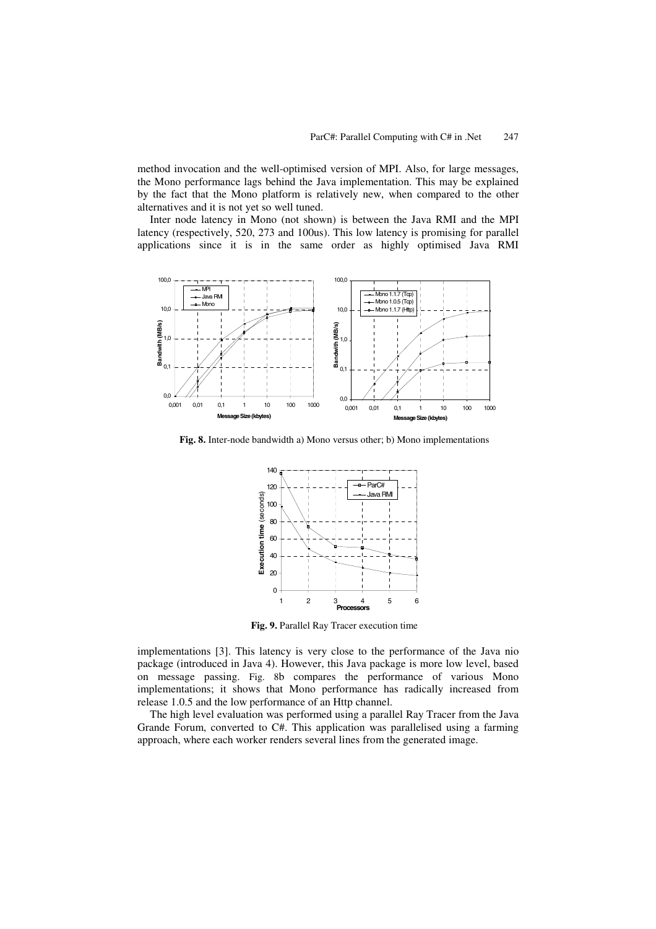method invocation and the well-optimised version of MPI. Also, for large messages, the Mono performance lags behind the Java implementation. This may be explained by the fact that the Mono platform is relatively new, when compared to the other alternatives and it is not yet so well tuned.

Inter node latency in Mono (not shown) is between the Java RMI and the MPI latency (respectively, 520, 273 and 100us). This low latency is promising for parallel applications since it is in the same order as highly optimised Java RMI



**Fig. 8.** Inter-node bandwidth a) Mono versus other; b) Mono implementations



**Fig. 9.** Parallel Ray Tracer execution time

implementations [3]. This latency is very close to the performance of the Java nio package (introduced in Java 4). However, this Java package is more low level, based on message passing. Fig. 8b compares the performance of various Mono implementations; it shows that Mono performance has radically increased from release 1.0.5 and the low performance of an Http channel.

The high level evaluation was performed using a parallel Ray Tracer from the Java Grande Forum, converted to C#. This application was parallelised using a farming approach, where each worker renders several lines from the generated image.